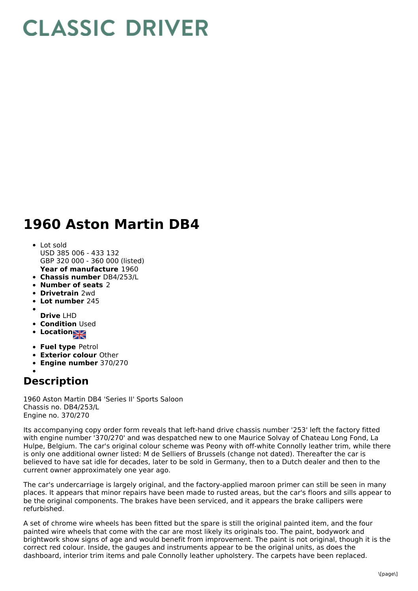## **CLASSIC DRIVER**

## **1960 Aston Martin DB4**

- **Year of manufacture** 1960 Lot sold USD 385 006 - 433 132 GBP 320 000 - 360 000 (listed)
- **Chassis number** DB4/253/L
- **Number of seats** 2
- **Drivetrain** 2wd
- **Lot number** 245
- 
- **Drive** LHD
- **Condition Used**
- **Location**
- **Fuel type** Petrol
- **Exterior colour** Other
- **Engine number** 370/270

## **Description**

1960 Aston Martin DB4 'Series II' Sports Saloon Chassis no. DB4/253/L Engine no. 370/270

Its accompanying copy order form reveals that left-hand drive chassis number '253' left the factory fitted with engine number '370/270' and was despatched new to one Maurice Solvay of Chateau Long Fond, La Hulpe, Belgium. The car's original colour scheme was Peony with off-white Connolly leather trim, while there is only one additional owner listed: M de Selliers of Brussels (change not dated). Thereafter the car is believed to have sat idle for decades, later to be sold in Germany, then to a Dutch dealer and then to the current owner approximately one year ago.

The car's undercarriage is largely original, and the factory-applied maroon primer can still be seen in many places. It appears that minor repairs have been made to rusted areas, but the car's floors and sills appear to be the original components. The brakes have been serviced, and it appears the brake callipers were refurbished.

A set of chrome wire wheels has been fitted but the spare is still the original painted item, and the four painted wire wheels that come with the car are most likely its originals too. The paint, bodywork and brightwork show signs of age and would benefit from improvement. The paint is not original, though it is the correct red colour. Inside, the gauges and instruments appear to be the original units, as does the dashboard, interior trim items and pale Connolly leather upholstery. The carpets have been replaced.